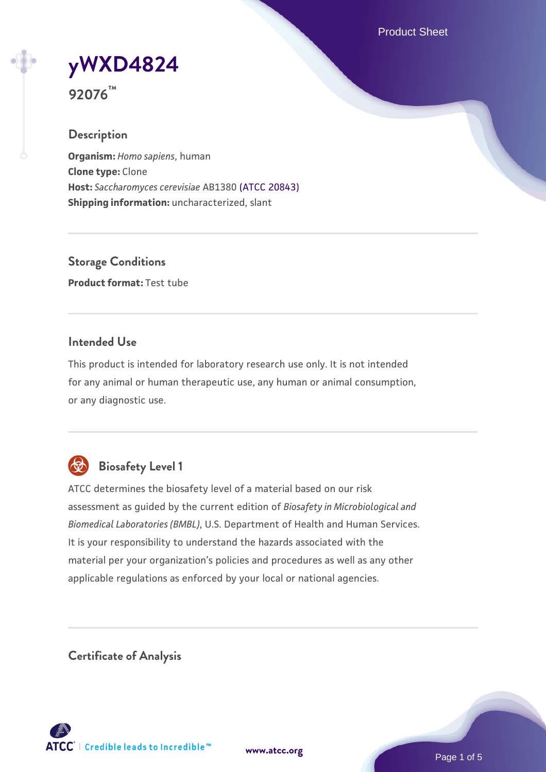Product Sheet

**[yWXD4824](https://www.atcc.org/products/92076)**

**92076™**

### **Description**

**Organism:** *Homo sapiens*, human **Clone type:** Clone **Host:** *Saccharomyces cerevisiae* AB1380 [\(ATCC 20843\)](https://www.atcc.org/products/20843) **Shipping information:** uncharacterized, slant

**Storage Conditions Product format:** Test tube

### **Intended Use**

This product is intended for laboratory research use only. It is not intended for any animal or human therapeutic use, any human or animal consumption, or any diagnostic use.



# **Biosafety Level 1**

ATCC determines the biosafety level of a material based on our risk assessment as guided by the current edition of *Biosafety in Microbiological and Biomedical Laboratories (BMBL)*, U.S. Department of Health and Human Services. It is your responsibility to understand the hazards associated with the material per your organization's policies and procedures as well as any other applicable regulations as enforced by your local or national agencies.

**Certificate of Analysis**

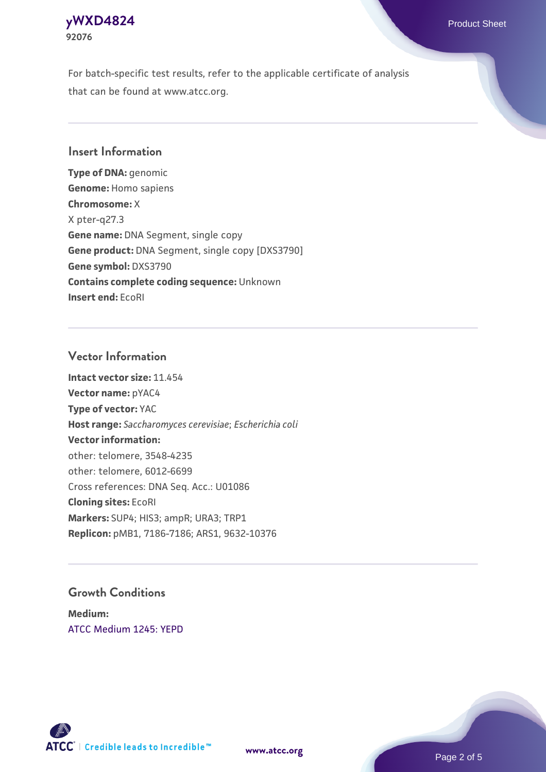### **[yWXD4824](https://www.atcc.org/products/92076)** Product Sheet **92076**

For batch-specific test results, refer to the applicable certificate of analysis that can be found at www.atcc.org.

### **Insert Information**

**Type of DNA:** genomic **Genome:** Homo sapiens **Chromosome:** X X pter-q27.3 **Gene name:** DNA Segment, single copy **Gene product:** DNA Segment, single copy [DXS3790] **Gene symbol:** DXS3790 **Contains complete coding sequence:** Unknown **Insert end:** EcoRI

### **Vector Information**

**Intact vector size:** 11.454 **Vector name:** pYAC4 **Type of vector:** YAC **Host range:** *Saccharomyces cerevisiae*; *Escherichia coli* **Vector information:** other: telomere, 3548-4235 other: telomere, 6012-6699 Cross references: DNA Seq. Acc.: U01086 **Cloning sites:** EcoRI **Markers:** SUP4; HIS3; ampR; URA3; TRP1 **Replicon:** pMB1, 7186-7186; ARS1, 9632-10376

### **Growth Conditions**

**Medium:**  [ATCC Medium 1245: YEPD](https://www.atcc.org/-/media/product-assets/documents/microbial-media-formulations/1/2/4/5/atcc-medium-1245.pdf?rev=705ca55d1b6f490a808a965d5c072196)



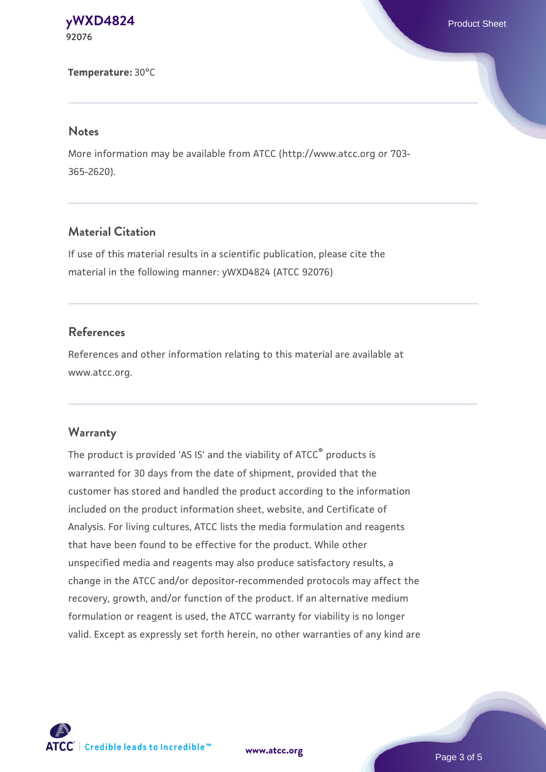#### **[yWXD4824](https://www.atcc.org/products/92076)** Product Sheet **92076**

#### **Temperature:** 30°C

#### **Notes**

More information may be available from ATCC (http://www.atcc.org or 703- 365-2620).

### **Material Citation**

If use of this material results in a scientific publication, please cite the material in the following manner: yWXD4824 (ATCC 92076)

### **References**

References and other information relating to this material are available at www.atcc.org.

#### **Warranty**

The product is provided 'AS IS' and the viability of ATCC® products is warranted for 30 days from the date of shipment, provided that the customer has stored and handled the product according to the information included on the product information sheet, website, and Certificate of Analysis. For living cultures, ATCC lists the media formulation and reagents that have been found to be effective for the product. While other unspecified media and reagents may also produce satisfactory results, a change in the ATCC and/or depositor-recommended protocols may affect the recovery, growth, and/or function of the product. If an alternative medium formulation or reagent is used, the ATCC warranty for viability is no longer valid. Except as expressly set forth herein, no other warranties of any kind are

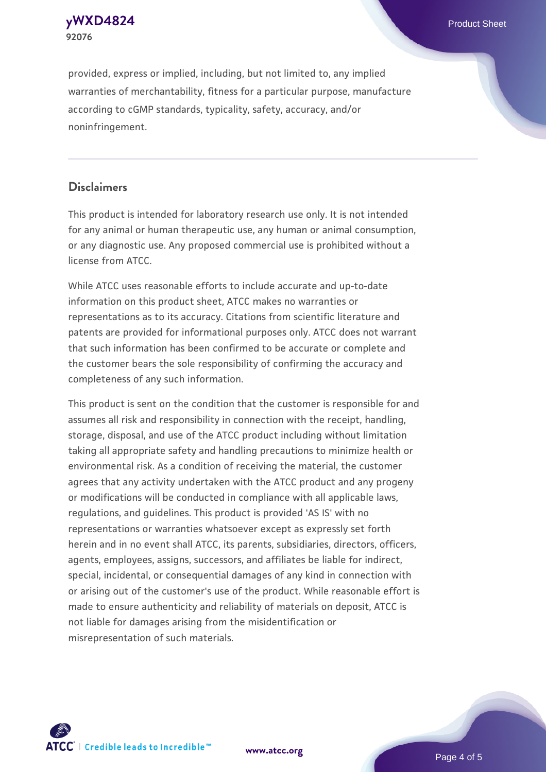

provided, express or implied, including, but not limited to, any implied warranties of merchantability, fitness for a particular purpose, manufacture according to cGMP standards, typicality, safety, accuracy, and/or noninfringement.

### **Disclaimers**

This product is intended for laboratory research use only. It is not intended for any animal or human therapeutic use, any human or animal consumption, or any diagnostic use. Any proposed commercial use is prohibited without a license from ATCC.

While ATCC uses reasonable efforts to include accurate and up-to-date information on this product sheet, ATCC makes no warranties or representations as to its accuracy. Citations from scientific literature and patents are provided for informational purposes only. ATCC does not warrant that such information has been confirmed to be accurate or complete and the customer bears the sole responsibility of confirming the accuracy and completeness of any such information.

This product is sent on the condition that the customer is responsible for and assumes all risk and responsibility in connection with the receipt, handling, storage, disposal, and use of the ATCC product including without limitation taking all appropriate safety and handling precautions to minimize health or environmental risk. As a condition of receiving the material, the customer agrees that any activity undertaken with the ATCC product and any progeny or modifications will be conducted in compliance with all applicable laws, regulations, and guidelines. This product is provided 'AS IS' with no representations or warranties whatsoever except as expressly set forth herein and in no event shall ATCC, its parents, subsidiaries, directors, officers, agents, employees, assigns, successors, and affiliates be liable for indirect, special, incidental, or consequential damages of any kind in connection with or arising out of the customer's use of the product. While reasonable effort is made to ensure authenticity and reliability of materials on deposit, ATCC is not liable for damages arising from the misidentification or misrepresentation of such materials.



**[www.atcc.org](http://www.atcc.org)**

Page 4 of 5